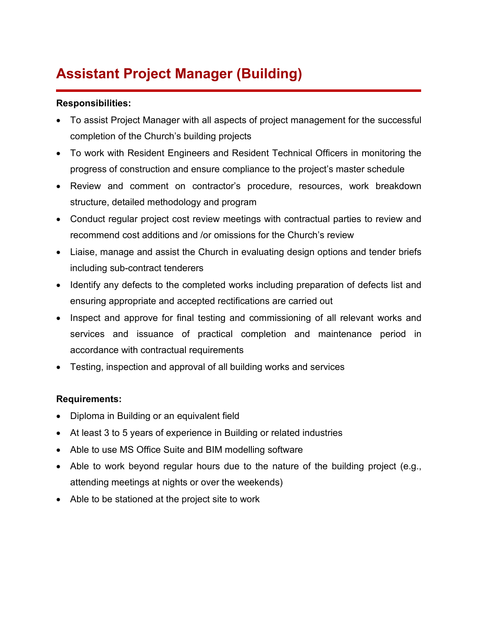## **Assistant Project Manager (Building)**

## **Responsibilities:**

- To assist Project Manager with all aspects of project management for the successful completion of the Church's building projects
- To work with Resident Engineers and Resident Technical Officers in monitoring the progress of construction and ensure compliance to the project's master schedule
- Review and comment on contractor's procedure, resources, work breakdown structure, detailed methodology and program
- Conduct regular project cost review meetings with contractual parties to review and recommend cost additions and /or omissions for the Church's review
- Liaise, manage and assist the Church in evaluating design options and tender briefs including sub-contract tenderers
- Identify any defects to the completed works including preparation of defects list and ensuring appropriate and accepted rectifications are carried out
- Inspect and approve for final testing and commissioning of all relevant works and services and issuance of practical completion and maintenance period in accordance with contractual requirements
- Testing, inspection and approval of all building works and services

## **Requirements:**

- Diploma in Building or an equivalent field
- At least 3 to 5 years of experience in Building or related industries
- Able to use MS Office Suite and BIM modelling software
- Able to work beyond regular hours due to the nature of the building project (e.g., attending meetings at nights or over the weekends)
- Able to be stationed at the project site to work